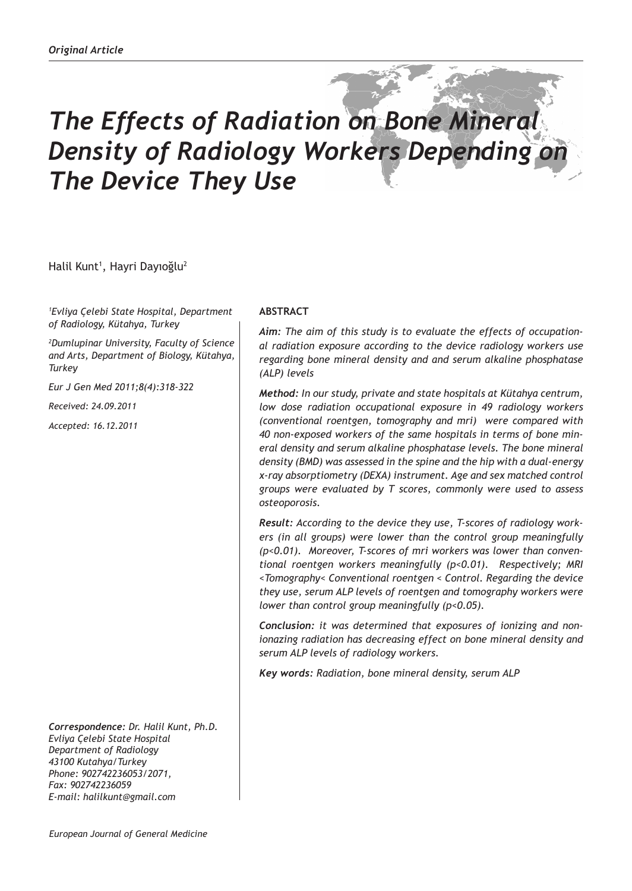# *The Effects of Radiation on Bone Mineral Density of Radiology Workers Depending on The Device They Use*

Halil Kunt<sup>ı</sup>, Hayri Dayıoğlu<sup>2</sup>

*1 Evliya Çelebi State Hospital, Department of Radiology, Kütahya, Turkey*

*2 Dumlupinar University, Faculty of Science and Arts, Department of Biology, Kütahya, Turkey*

*Eur J Gen Med 2011;8(4):318-322*

*Received: 24.09.2011*

*Accepted: 16.12.2011*

*Correspondence: Dr. Halil Kunt, Ph.D. Evliya Çelebi State Hospital Department of Radiology 43100 Kutahya/Turkey Phone: 902742236053/2071, Fax: 902742236059 E-mail: halilkunt@gmail.com*

# **ABSTRACT**

*Aim: The aim of this study is to evaluate the effects of occupational radiation exposure according to the device radiology workers use regarding bone mineral density and and serum alkaline phosphatase (ALP) levels* 

*Method: In our study, private and state hospitals at Kütahya centrum, low dose radiation occupational exposure in 49 radiology workers (conventional roentgen, tomography and mri) were compared with 40 non-exposed workers of the same hospitals in terms of bone mineral density and serum alkaline phosphatase levels. The bone mineral density (BMD) was assessed in the spine and the hip with a dual-energy x-ray absorptiometry (DEXA) instrument. Age and sex matched control groups were evaluated by T scores, commonly were used to assess osteoporosis.*

*Result: According to the device they use, T-scores of radiology workers (in all groups) were lower than the control group meaningfully (p<0.01). Moreover, T-scores of mri workers was lower than conventional roentgen workers meaningfully (p<0.01). Respectively; MRI <Tomography< Conventional roentgen < Control. Regarding the device they use, serum ALP levels of roentgen and tomography workers were lower than control group meaningfully (p<0.05).*

*Conclusion: it was determined that exposures of ionizing and nonionazing radiation has decreasing effect on bone mineral density and serum ALP levels of radiology workers.* 

*Key words: Radiation, bone mineral density, serum ALP*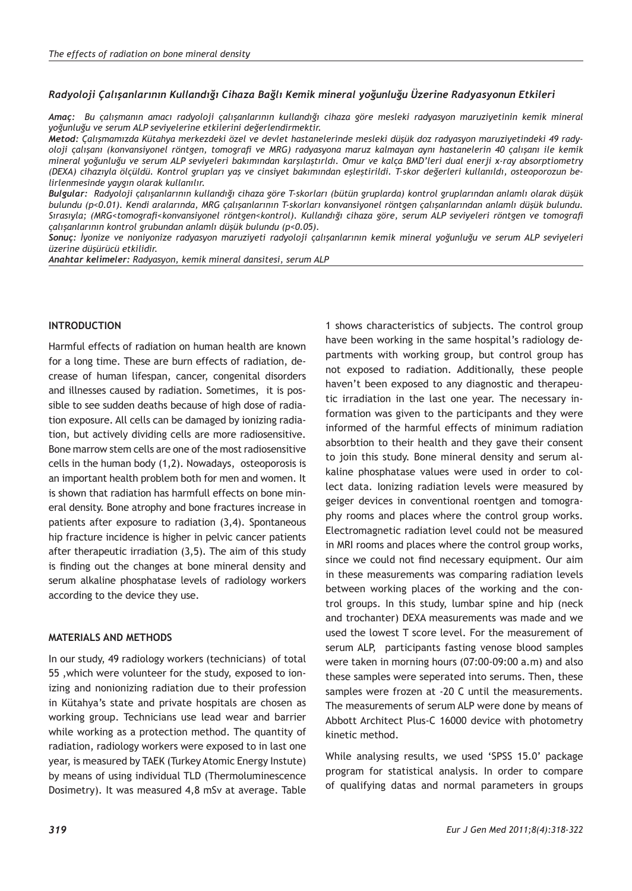### *Radyoloji Çalışanlarının Kullandığı Cihaza Bağlı Kemik mineral yoğunluğu Üzerine Radyasyonun Etkileri*

*Amaç: Bu çalışmanın amacı radyoloji çalışanlarının kullandığı cihaza göre mesleki radyasyon maruziyetinin kemik mineral yoğunluğu ve serum ALP seviyelerine etkilerini değerlendirmektir.*

*Metod: Çalışmamızda Kütahya merkezdeki özel ve devlet hastanelerinde mesleki düşük doz radyasyon maruziyetindeki 49 radyoloji çalışanı (konvansiyonel röntgen, tomografi ve MRG) radyasyona maruz kalmayan aynı hastanelerin 40 çalışanı ile kemik mineral yoğunluğu ve serum ALP seviyeleri bakımından karşılaştırldı. Omur ve kalça BMD'leri dual enerji x-ray absorptiometry (DEXA) cihazıyla ölçüldü. Kontrol grupları yaş ve cinsiyet bakımından eşleştirildi. T-skor değerleri kullanıldı, osteoporozun belirlenmesinde yaygın olarak kullanılır.*

*Bulgular: Radyoloji çalışanlarının kullandığı cihaza göre T-skorları (bütün gruplarda) kontrol gruplarından anlamlı olarak düşük bulundu (p<0.01). Kendi aralarında, MRG çalışanlarının T-skorları konvansiyonel röntgen çalışanlarından anlamlı düşük bulundu. Sırasıyla; (MRG<tomografi<konvansiyonel röntgen<kontrol). Kullandığı cihaza göre, serum ALP seviyeleri röntgen ve tomografi çalışanlarının kontrol grubundan anlamlı düşük bulundu (p<0.05).*

*Sonuç: İyonize ve noniyonize radyasyon maruziyeti radyoloji çalışanlarının kemik mineral yoğunluğu ve serum ALP seviyeleri üzerine düşürücü etkilidir.*

*Anahtar kelimeler: Radyasyon, kemik mineral dansitesi, serum ALP*

## **INTRODUCTION**

Harmful effects of radiation on human health are known for a long time. These are burn effects of radiation, decrease of human lifespan, cancer, congenital disorders and illnesses caused by radiation. Sometimes, it is possible to see sudden deaths because of high dose of radiation exposure. All cells can be damaged by ionizing radiation, but actively dividing cells are more radiosensitive. Bone marrow stem cells are one of the most radiosensitive cells in the human body (1,2). Nowadays, osteoporosis is an important health problem both for men and women. It is shown that radiation has harmfull effects on bone mineral density. Bone atrophy and bone fractures increase in patients after exposure to radiation (3,4). Spontaneous hip fracture incidence is higher in pelvic cancer patients after therapeutic irradiation (3,5). The aim of this study is finding out the changes at bone mineral density and serum alkaline phosphatase levels of radiology workers according to the device they use.

#### **MATERIALS AND METHODS**

In our study, 49 radiology workers (technicians) of total 55 ,which were volunteer for the study, exposed to ionizing and nonionizing radiation due to their profession in Kütahya's state and private hospitals are chosen as working group. Technicians use lead wear and barrier while working as a protection method. The quantity of radiation, radiology workers were exposed to in last one year, is measured by TAEK (Turkey Atomic Energy Instute) by means of using individual TLD (Thermoluminescence Dosimetry). It was measured 4,8 mSv at average. Table

1 shows characteristics of subjects. The control group have been working in the same hospital's radiology departments with working group, but control group has not exposed to radiation. Additionally, these people haven't been exposed to any diagnostic and therapeutic irradiation in the last one year. The necessary information was given to the participants and they were informed of the harmful effects of minimum radiation absorbtion to their health and they gave their consent to join this study. Bone mineral density and serum alkaline phosphatase values were used in order to collect data. Ionizing radiation levels were measured by geiger devices in conventional roentgen and tomography rooms and places where the control group works. Electromagnetic radiation level could not be measured in MRI rooms and places where the control group works, since we could not find necessary equipment. Our aim in these measurements was comparing radiation levels between working places of the working and the control groups. In this study, lumbar spine and hip (neck and trochanter) DEXA measurements was made and we used the lowest T score level. For the measurement of serum ALP, participants fasting venose blood samples were taken in morning hours (07:00-09:00 a.m) and also these samples were seperated into serums. Then, these samples were frozen at -20 C until the measurements. The measurements of serum ALP were done by means of Abbott Architect Plus-C 16000 device with photometry kinetic method.

While analysing results, we used 'SPSS 15.0' package program for statistical analysis. In order to compare of qualifying datas and normal parameters in groups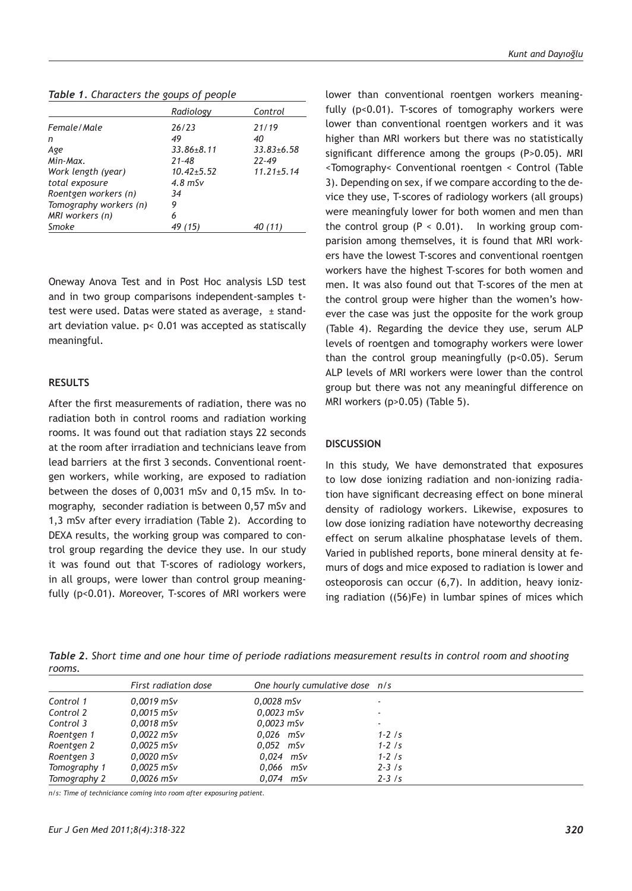*Table 1. Characters the goups of people* 

|                        | Radiology        | Control          |
|------------------------|------------------|------------------|
| Female/Male            | 26/23            | 21/19            |
| n                      | 49               | 40               |
| Age                    | $33.86 \pm 8.11$ | $33.83 \pm 6.58$ |
| Min-Max.               | $21 - 48$        | $22 - 49$        |
| Work length (year)     | $10.42 + 5.52$   | $11.21 \pm 5.14$ |
| total exposure         | $4.8$ mSv        |                  |
| Roentgen workers (n)   | 34               |                  |
| Tomography workers (n) | 9                |                  |
| MRI workers (n)        | 6                |                  |
| Smoke                  | 15)              |                  |

Oneway Anova Test and in Post Hoc analysis LSD test and in two group comparisons independent-samples ttest were used. Datas were stated as average, ± standart deviation value. p< 0.01 was accepted as statiscally meaningful.

#### **RESULTS**

After the first measurements of radiation, there was no radiation both in control rooms and radiation working rooms. It was found out that radiation stays 22 seconds at the room after irradiation and technicians leave from lead barriers at the first 3 seconds. Conventional roentgen workers, while working, are exposed to radiation between the doses of 0,0031 mSv and 0,15 mSv. In tomography, seconder radiation is between 0,57 mSv and 1,3 mSv after every irradiation (Table 2). According to DEXA results, the working group was compared to control group regarding the device they use. In our study it was found out that T-scores of radiology workers, in all groups, were lower than control group meaningfully (p<0.01). Moreover, T-scores of MRI workers were

lower than conventional roentgen workers meaningfully (p<0.01). T-scores of tomography workers were lower than conventional roentgen workers and it was higher than MRI workers but there was no statistically significant difference among the groups (P>0.05). MRI <Tomography< Conventional roentgen < Control (Table 3). Depending on sex, if we compare according to the device they use, T-scores of radiology workers (all groups) were meaningfuly lower for both women and men than the control group  $(P < 0.01)$ . In working group comparision among themselves, it is found that MRI workers have the lowest T-scores and conventional roentgen workers have the highest T-scores for both women and men. It was also found out that T-scores of the men at the control group were higher than the women's however the case was just the opposite for the work group (Table 4). Regarding the device they use, serum ALP levels of roentgen and tomography workers were lower than the control group meaningfully (p<0.05). Serum ALP levels of MRI workers were lower than the control group but there was not any meaningful difference on MRI workers (p>0.05) (Table 5).

#### **DISCUSSION**

In this study, We have demonstrated that exposures to low dose ionizing radiation and non-ionizing radiation have significant decreasing effect on bone mineral density of radiology workers. Likewise, exposures to low dose ionizing radiation have noteworthy decreasing effect on serum alkaline phosphatase levels of them. Varied in published reports, bone mineral density at femurs of dogs and mice exposed to radiation is lower and osteoporosis can occur (6,7). In addition, heavy ionizing radiation ((56)Fe) in lumbar spines of mices which

*Table 2. Short time and one hour time of periode radiations measurement results in control room and shooting rooms.* 

|              | First radiation dose | One hourly cumulative dose n/s |             |
|--------------|----------------------|--------------------------------|-------------|
| Control 1    | $0.0019$ mSv         | $0.0028$ mSv                   | $\sim$      |
| Control 2    | $0.0015$ mSv         | $0.0023$ mSv                   | $\sim$      |
| Control 3    | $0.0018$ mSv         | 0,0023 mSv                     | ۰           |
| Roentgen 1   | $0.0022$ mSv         | $0.026$ mSv                    | $1 - 2 /s$  |
| Roentgen 2   | $0.0025$ mSv         | $0.052$ mSv                    | $1 - 2 / s$ |
| Roentgen 3   | $0.0020$ mSv         | $0.024$ mSv                    | $1 - 2 / s$ |
| Tomography 1 | $0.0025$ mSv         | $0.066$ mSv                    | $2 - 3 / s$ |
| Tomography 2 | $0.0026$ mSv         | $0.074$ mSv                    | $2 - 3 / s$ |

*n/s: Time of techniciance coming into room after exposuring patient.*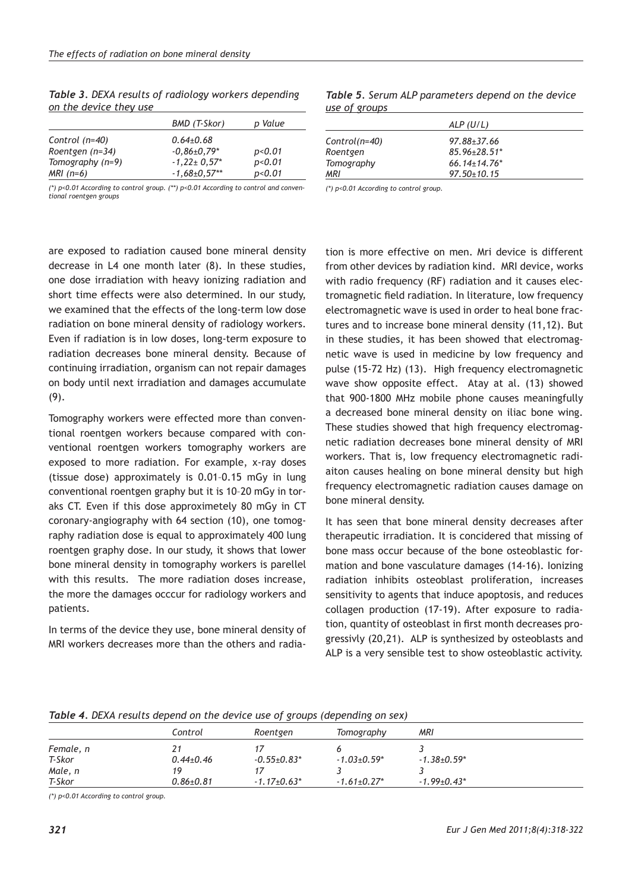|                  | BMD (T-Skor)      | p Value           |
|------------------|-------------------|-------------------|
| Control $(n=40)$ | $0.64 + 0.68$     |                   |
| Roentgen (n=34)  | $-0.86 \pm 0.79*$ | p <sub>0.01</sub> |
| Tomography (n=9) | $-1,22+0,57*$     | p<0.01            |
| $MRI (n=6)$      | $-1,68\pm0,57**$  | p<0.01            |

*Table 3. DEXA results of radiology workers depending on the device they use*

*(\*) p<0.01 According to control group. (\*\*) p<0.01 According to control and conventional roentgen groups*

|                       | Table 5. Serum ALP parameters depend on the device |  |  |
|-----------------------|----------------------------------------------------|--|--|
| <u>use of groups </u> |                                                    |  |  |

|                   | ALP(U/L)                       |  |
|-------------------|--------------------------------|--|
| Control(n=40)     | $97.88 \pm 37.66$              |  |
| Roentgen          | $85.96 \pm 28.51$ *            |  |
| <b>Tomography</b> | $66.14 \pm 14.76$ <sup>*</sup> |  |
| MRI               | $97.50 \pm 10.15$              |  |

*(\*) p<0.01 According to control group.*

are exposed to radiation caused bone mineral density decrease in L4 one month later (8). In these studies, one dose irradiation with heavy ionizing radiation and short time effects were also determined. In our study, we examined that the effects of the long-term low dose radiation on bone mineral density of radiology workers. Even if radiation is in low doses, long-term exposure to radiation decreases bone mineral density. Because of continuing irradiation, organism can not repair damages on body until next irradiation and damages accumulate (9).

Tomography workers were effected more than conventional roentgen workers because compared with conventional roentgen workers tomography workers are exposed to more radiation. For example, x-ray doses (tissue dose) approximately is 0.01–0.15 mGy in lung conventional roentgen graphy but it is 10–20 mGy in toraks CT. Even if this dose approximetely 80 mGy in CT coronary-angiography with 64 section (10), one tomography radiation dose is equal to approximately 400 lung roentgen graphy dose. In our study, it shows that lower bone mineral density in tomography workers is parellel with this results. The more radiation doses increase, the more the damages occcur for radiology workers and patients.

In terms of the device they use, bone mineral density of MRI workers decreases more than the others and radia-

tion is more effective on men. Mri device is different from other devices by radiation kind. MRI device, works with radio frequency (RF) radiation and it causes electromagnetic field radiation. In literature, low frequency electromagnetic wave is used in order to heal bone fractures and to increase bone mineral density (11,12). But in these studies, it has been showed that electromagnetic wave is used in medicine by low frequency and pulse (15-72 Hz) (13). High frequency electromagnetic wave show opposite effect. Atay at al. (13) showed that 900-1800 MHz mobile phone causes meaningfully a decreased bone mineral density on iliac bone wing. These studies showed that high frequency electromagnetic radiation decreases bone mineral density of MRI workers. That is, low frequency electromagnetic radiaiton causes healing on bone mineral density but high frequency electromagnetic radiation causes damage on bone mineral density.

It has seen that bone mineral density decreases after therapeutic irradiation. It is concidered that missing of bone mass occur because of the bone osteoblastic formation and bone vasculature damages (14-16). Ionizing radiation inhibits osteoblast proliferation, increases sensitivity to agents that induce apoptosis, and reduces collagen production (17-19). After exposure to radiation, quantity of osteoblast in first month decreases progressivly (20,21). ALP is synthesized by osteoblasts and ALP is a very sensible test to show osteoblastic activity.

| Table 4. DEXA results depend on the device use of groups (depending on sex) |  |  |  |
|-----------------------------------------------------------------------------|--|--|--|
|-----------------------------------------------------------------------------|--|--|--|

|           |                 | ້                  | ັ                  |                    |  |
|-----------|-----------------|--------------------|--------------------|--------------------|--|
|           | Control         | Roentgen           | Tomography         | MRI                |  |
| Female, n | 21              |                    |                    |                    |  |
| T-Skor    | $0.44 \pm 0.46$ | $-0.55 \pm 0.83$ * | $-1.03 + 0.59*$    | $-1.38{\pm}0.59*$  |  |
| Male, n   | 19              |                    |                    |                    |  |
| T-Skor    | $0.86 \pm 0.81$ | $-1.17+0.63*$      | $-1.61 \pm 0.27$ * | $-1.99 \pm 0.43$ * |  |

*(\*) p<0.01 According to control group.*